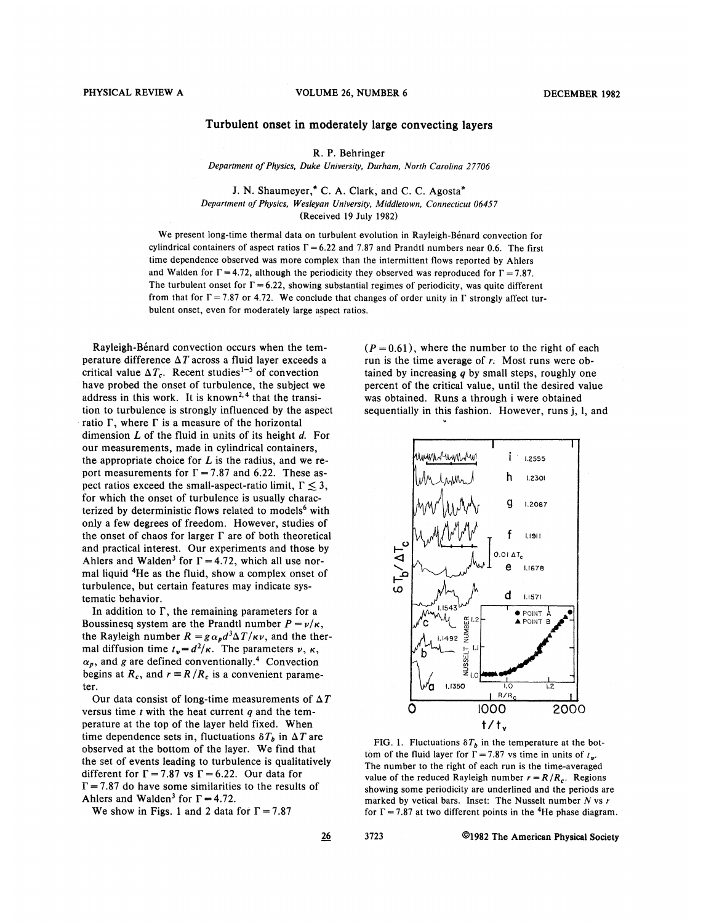## Turbulent onset in moderately large convecting layers

R. P. Behringer

Department of Physics, Duke University, Durham, North Carolina 27706

J. N. Shaumeyer,\* C. A. Clark, and C. C. Agosta\* Department of Physics, Wesleyan University, Middletown, Connecticut 06457 (Received 19 July 1982)

We present long-time thermal data on turbulent evolution in Rayleigh-Bénard convection for cylindrical containers of aspect ratios  $\Gamma = 6.22$  and 7.87 and Prandtl numbers near 0.6. The first time dependence observed was more complex than the intermittent flows reported by Ahlers and Walden for  $\Gamma = 4.72$ , although the periodicity they observed was reproduced for  $\Gamma = 7.87$ . The turbulent onset for  $\Gamma = 6.22$ , showing substantial regimes of periodicity, was quite different from that for  $\Gamma = 7.87$  or 4.72. We conclude that changes of order unity in  $\Gamma$  strongly affect turbulent onset, even for moderately large aspect ratios.

Rayleigh-Bénard convection occurs when the temperature difference  $\Delta T$  across a fluid layer exceeds a critical value  $\Delta T_c$ . Recent studies<sup>1-5</sup> of convection have probed the onset of turbulence, the subject we address in this work. It is known<sup>2,4</sup> that the transi tion to turbulence is strongly influenced by the aspect ratio  $\Gamma$ , where  $\Gamma$  is a measure of the horizontal dimension  $L$  of the fluid in units of its height  $d$ . For our measurements, made in cylindrical containers, the appropriate choice for  $L$  is the radius, and we report measurements for  $\Gamma = 7.87$  and 6.22. These aspect ratios exceed the small-aspect-ratio limit,  $\Gamma \leq 3$ , for which the onset of turbulence is usually characterized by deterministic flows related to models<sup>6</sup> with only a few degrees of freedom. However, studies of the onset of chaos for larger  $\Gamma$  are of both theoretical and practical interest. Our experiments and those by Ahlers and Walden<sup>3</sup> for  $\Gamma = 4.72$ , which all use normal liquid 4He as the fluid, show a complex onset of turbulence, but certain features may indicate systematic behavior.

In addition to  $\Gamma$ , the remaining parameters for a Boussinesq system are the Prandtl number  $P = \nu/\kappa$ , the Rayleigh number  $R = g \alpha_p d^3 \Delta T / \kappa \nu$ , and the thermal diffusion time  $t_v = d^2 / \kappa$ . The parameters  $\nu$ ,  $\kappa$ ,  $\alpha_p$ , and g are defined conventionally.<sup>4</sup> Convection begins at  $R_c$ , and  $r = R/R_c$  is a convenient parameter.

Our data consist of long-time measurements of  $\Delta T$ versus time  $t$  with the heat current  $q$  and the temperature at the top of the layer held fixed. When time dependence sets in, fluctuations  $\delta T_b$  in  $\Delta T$  are observed at the bottom of the layer. We find that the set of events leading to turbulence is qualitatively different for  $\Gamma = 7.87$  vs  $\Gamma = 6.22$ . Our data for  $\Gamma = 7.87$  do have some similarities to the results of Ahlers and Walden<sup>3</sup> for  $\Gamma = 4.72$ .

We show in Figs. 1 and 2 data for  $\Gamma = 7.87$ 

 $(P = 0.61)$ , where the number to the right of each run is the time average of r. Most runs were obtained by increasing  $q$  by small steps, roughly one percent of the critical value, until the desired value was obtained. Runs a through i were obtained sequentially in this fashion. However, runs j, 1, and



FIG. 1. Fluctuations  $\delta T_h$  in the temperature at the bottom of the fluid layer for  $\Gamma = 7.87$  vs time in units of  $t_{\text{w}}$ . The number to the right of each run is the time-averaged value of the reduced Rayleigh number  $r = R/R_c$ . Regions showing some periodicity are underlined and the periods are marked by vetical bars. Inset: The Nusselt number  $N$  vs  $r$ for  $\Gamma = 7.87$  at two different points in the <sup>4</sup>He phase diagram.

<u>26</u>

3723 O1982 The American Physical Society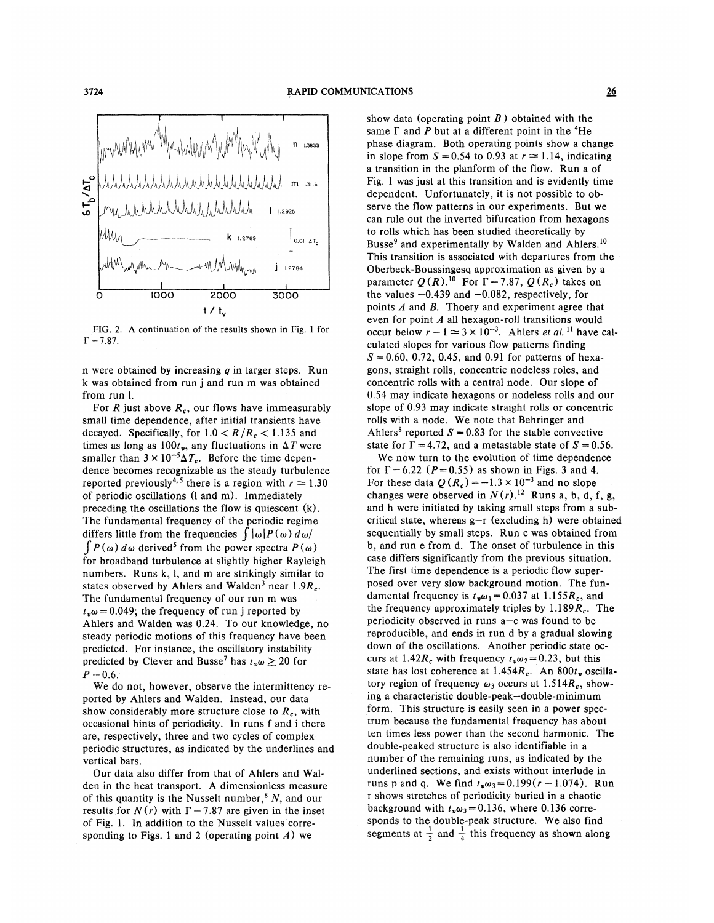

FIG. 2. A continuation of the results shown in Fig. <sup>1</sup> for  $\Gamma = 7.87.$ 

n were obtained by increasing  $q$  in larger steps. Run k was obtained from run j and run m was obtained from run 1.

For R just above  $R_c$ , our flows have immeasurably small time dependence, after initial transients have decayed. Specifically, for  $1.0 < R/R_c < 1.135$  and times as long as  $100t_v$ , any fluctuations in  $\Delta T$  were smaller than  $3 \times 10^{-5} \Delta T_c$ . Before the time dependence becomes recognizable as the steady turbulence reported previously<sup>4,5</sup> there is a region with  $r \approx 1.30$ of periodic oscillations (1 and m). Immediately preceding the oscillations the flow is quiescent (k). The fundamental frequency of the periodic regime differs little from the frequencies  $\int |\omega| P(\omega) d\omega$  $\int P(\omega) d\omega$  derived<sup>5</sup> from the power spectra  $P(\omega)$ for broadband turbulence at slightly higher Rayleigh numbers. Runs k, 1, and m are strikingly similar to states observed by Ahlers and Walden<sup>3</sup> near 1.9 $R_c$ . The fundamental frequency of our run m was  $t<sub>v</sub>\omega$  = 0.049; the frequency of run j reported by Ahlers and Walden was 0.24. To our knowledge, no steady periodic motions of this frequency have been predicted. For instance, the oscillatory instability predicted by Clever and Busse<sup>7</sup> has  $t_{\nu}\omega \ge 20$  for  $P = 0.6$ .

We do not, however, observe the intermittency reported by Ahlers and Walden. Instead, our data show considerably more structure close to  $R_c$ , with occasional hints of periodicity. In runs f and <sup>i</sup> there are, respectively, three and two cycles of complex periodic structures, as indicated by the underlines and vertical bars.

Our data also differ from that of Ahlers and Walden in the heat transport. A dimensionless measure of this quantity is the Nusselt number,  $N$ , and our results for  $N(r)$  with  $\Gamma = 7.87$  are given in the inset of Fig. 1. In addition to the Nusselt values corresponding to Figs. 1 and 2 (operating point  $A$ ) we

show data (operating point  $B$ ) obtained with the same  $\Gamma$  and P but at a different point in the <sup>4</sup>He phase diagram. Both operating points show a change in slope from  $S = 0.54$  to 0.93 at  $r \approx 1.14$ , indicating a transition in the planform of the flow. Run a of Fig. 1 was just at this transition and is evidently time dependent. Unfortunately, it is not possible to observe the flow patterns in our experiments. But we can rule out the inverted bifurcation from hexagons to rolls which has been studied theoretically by Busse<sup>9</sup> and experimentally by Walden and Ahlers.<sup>10</sup> This transition is associated with departures from the Oberbeck-Boussingesq approximation as given by a parameter  $Q(R)$ .<sup>10</sup> For  $\Gamma$  = 7.87,  $Q(R_c)$  takes on the values  $-0.439$  and  $-0.082$ , respectively, for points  $A$  and  $B$ . Thoery and experiment agree that even for point  $A$  all hexagon-roll transitions would even for point A all hexagon-roll transitions would<br>occur below  $r - 1 \approx 3 \times 10^{-3}$ . Ahlers *et al*.<sup>11</sup> have calculated slopes for various flow patterns finding  $S = 0.60, 0.72, 0.45,$  and 0.91 for patterns of hexagons, straight rolls, concentric nodeless roles, and concentric rolls with a central node. Our slope of 0.54 may indicate hexagons or nodeless rolls and our slope of 6.93 may indicate straight rolls or concentric rolls with a node. We note that Behringer and Ahlers<sup>8</sup> reported  $S = 0.83$  for the stable convective state for  $\Gamma$  = 4.72, and a metastable state of S = 0.56.

We now turn to the evolution of time dependence for  $\Gamma$  = 6.22 ( $P$ = 0.55) as shown in Figs. 3 and 4. For these data  $Q(R_c) = -1.3 \times 10^{-3}$  and no slope changes were observed in  $N(r)$ .<sup>12</sup> Runs a, b, d, f, g, and h were initiated by taking small steps from a subcritical state, whereas  $g-r$  (excluding h) were obtained sequentially by small steps. Run c was obtained from b, and run e from d. The onset of turbulence in this case differs significantly from the previous situation. The first time dependence is a periodic flow superposed over very slow background motion. The fundamental frequency is  $t_{\nu}\omega_1 = 0.037$  at 1.155 $R_c$ , and the frequency approximately triples by  $1.189R_c$ . The periodicity observed in runs <sup>a</sup>—<sup>c</sup> was found to be reproducible, and ends in run d by a gradual slowing down of the oscillations. Another periodic state occurs at 1.42 $R_c$  with frequency  $t_v \omega_2 = 0.23$ , but this state has lost coherence at  $1.454R_c$ . An  $800t_v$  oscillatory region of frequency  $\omega_3$  occurs at 1.514 $R_c$ , showing <sup>a</sup> characteristic double-peak —double-minimum form. This structure is easily seen in a power spectrum because the fundamental frequency has about ten times less power than the second harmonic. The double-peaked structure is also identifiable in a number of the remaining runs, as indicated by the underlined sections, and exists without interlude in runs p and q. We find  $t_{\nu}\omega_3=0.199(r - 1.074)$ . Run r shows stretches of periodicity buried in a chaotic background with  $t_{\nu}\omega_3=0.136$ , where 0.136 corresponds to the double-peak structure. We also find segments at  $\frac{1}{2}$  and  $\frac{1}{4}$  this frequency as shown along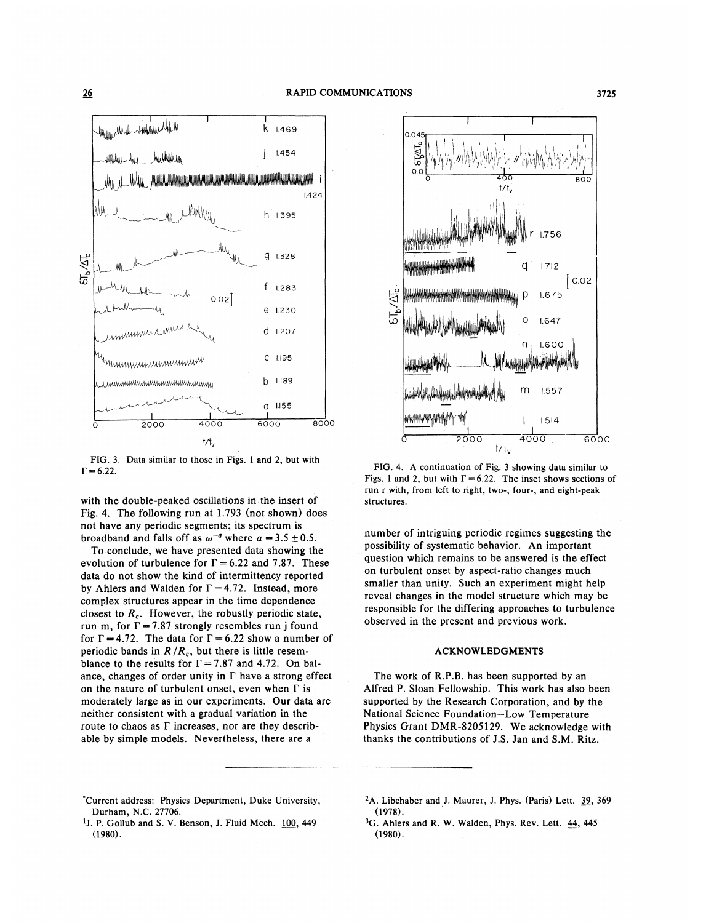

FIG. 3. Data similar to those in Figs. 1 and 2, but with  $\Gamma = 6.22.$ 

with the double-peaked oscillations in the insert of Fig. 4. The following run at 1.793 (not shown) does not have any periodic segments; its spectrum is broadband and falls off as  $\omega^{-a}$  where  $a = 3.5 \pm 0.5$ .

To conclude, we have presented data showing the evolution of turbulence for  $\Gamma = 6.22$  and 7.87. These data do not show the kind of intermittency reported by Ahlers and Walden for  $\Gamma = 4.72$ . Instead, more complex structures appear in the time dependence closest to  $R_c$ . However, the robustly periodic state, run m, for  $\Gamma = 7.87$  strongly resembles run j found for  $\Gamma = 4.72$ . The data for  $\Gamma = 6.22$  show a number of periodic bands in  $R/R_c$ , but there is little resemblance to the results for  $\Gamma = 7.87$  and 4.72. On balance, changes of order unity in  $\Gamma$  have a strong effect on the nature of turbulent onset, even when  $\Gamma$  is moderately large as in our experiments. Our data are neither consistent with a gradual variation in the route to chaos as  $\Gamma$  increases, nor are they describable by simple models. Nevertheless, there are a



FIG. 4. A continuation of Fig. 3 showing data similar to Figs. 1 and 2, but with  $\Gamma = 6.22$ . The inset shows sections of run r with, from left to right, two-, four-, and eight-peak structures.

number of intriguing periodic regimes suggesting the possibility of systematic behavior. An important question which remains to be answered is the effect on turbulent onset by aspect-ratio changes much smaller than unity. Such an experiment might help reveal changes in the model structure which may be responsible for the differing approaches to turbulence observed in the present and previous work.

## **ACKNOWLEDGMENTS**

The work of R.P.B. has been supported by an Alfred P. Sloan Fellowship. This work has also been supported by the Research Corporation, and by the National Science Foundation-Low Temperature Physics Grant DMR-8205129. We acknowledge with thanks the contributions of J.S. Jan and S.M. Ritz.

- \*Current address: Physics Department, Duke University, Durham, N.C. 27706.
- <sup>1</sup>J. P. Gollub and S. V. Benson, J. Fluid Mech. 100, 449  $(1980).$
- <sup>2</sup>A. Libchaber and J. Maurer, J. Phys. (Paris) Lett. 39, 369  $(1978)$ .
- <sup>3</sup>G. Ahlers and R. W. Walden, Phys. Rev. Lett. 44, 445  $(1980).$